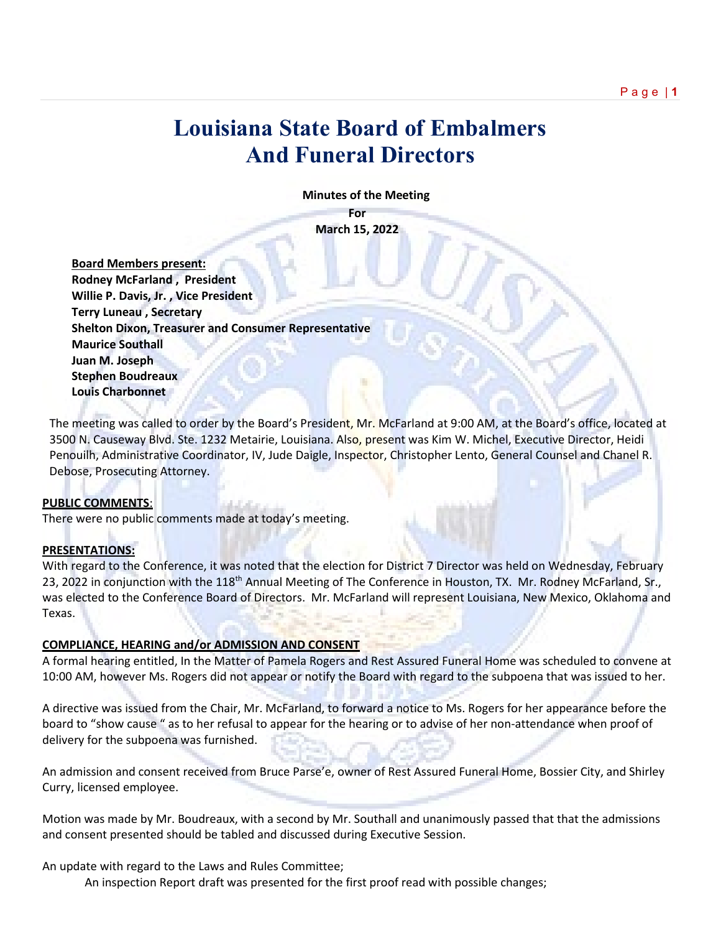# **Louisiana State Board of Embalmers And Funeral Directors**

 **Minutes of the Meeting**

**For March 15, 2022**

 **Board Members present: Rodney McFarland , President Willie P. Davis, Jr. , Vice President Terry Luneau , Secretary Shelton Dixon, Treasurer and Consumer Representative Maurice Southall Juan M. Joseph Stephen Boudreaux Louis Charbonnet**

The meeting was called to order by the Board's President, Mr. McFarland at 9:00 AM, at the Board's office, located at 3500 N. Causeway Blvd. Ste. 1232 Metairie, Louisiana. Also, present was Kim W. Michel, Executive Director, Heidi Penouilh, Administrative Coordinator, IV, Jude Daigle, Inspector, Christopher Lento, General Counsel and Chanel R. Debose, Prosecuting Attorney.

### **PUBLIC COMMENTS**:

There were no public comments made at today's meeting.

### **PRESENTATIONS:**

With regard to the Conference, it was noted that the election for District 7 Director was held on Wednesday, February 23, 2022 in conjunction with the 118<sup>th</sup> Annual Meeting of The Conference in Houston, TX. Mr. Rodney McFarland, Sr., was elected to the Conference Board of Directors. Mr. McFarland will represent Louisiana, New Mexico, Oklahoma and Texas.

### **COMPLIANCE, HEARING and/or ADMISSION AND CONSENT**

A formal hearing entitled, In the Matter of Pamela Rogers and Rest Assured Funeral Home was scheduled to convene at 10:00 AM, however Ms. Rogers did not appear or notify the Board with regard to the subpoena that was issued to her.

A directive was issued from the Chair, Mr. McFarland, to forward a notice to Ms. Rogers for her appearance before the board to "show cause " as to her refusal to appear for the hearing or to advise of her non-attendance when proof of delivery for the subpoena was furnished.

An admission and consent received from Bruce Parse'e, owner of Rest Assured Funeral Home, Bossier City, and Shirley Curry, licensed employee.

Motion was made by Mr. Boudreaux, with a second by Mr. Southall and unanimously passed that that the admissions and consent presented should be tabled and discussed during Executive Session.

An update with regard to the Laws and Rules Committee;

An inspection Report draft was presented for the first proof read with possible changes;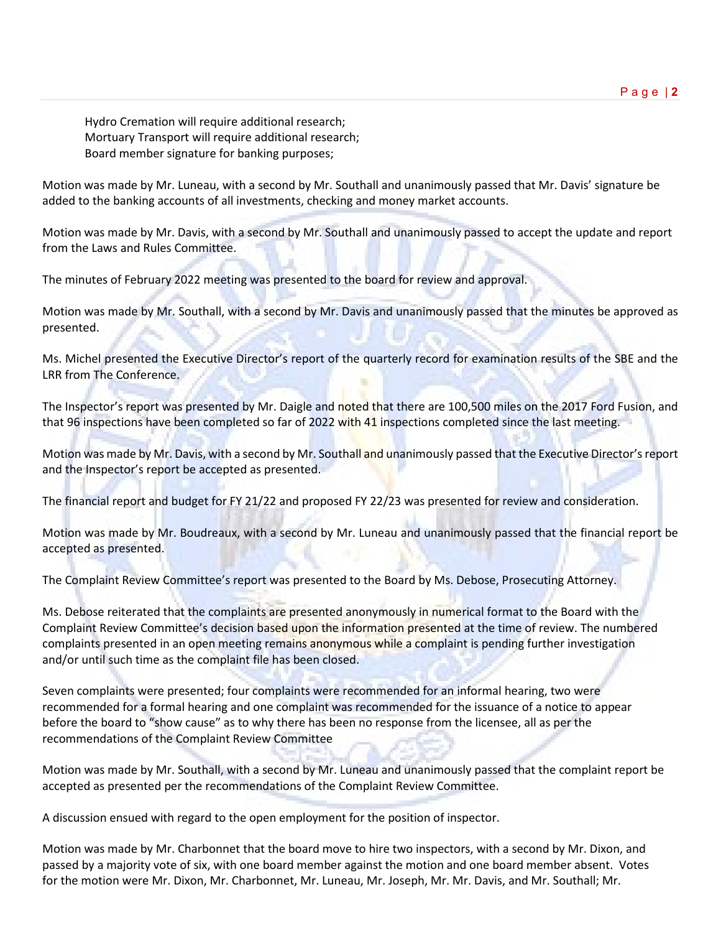Hydro Cremation will require additional research; Mortuary Transport will require additional research; Board member signature for banking purposes;

Motion was made by Mr. Luneau, with a second by Mr. Southall and unanimously passed that Mr. Davis' signature be added to the banking accounts of all investments, checking and money market accounts.

Motion was made by Mr. Davis, with a second by Mr. Southall and unanimously passed to accept the update and report from the Laws and Rules Committee.

The minutes of February 2022 meeting was presented to the board for review and approval.

Motion was made by Mr. Southall, with a second by Mr. Davis and unanimously passed that the minutes be approved as presented.

Ms. Michel presented the Executive Director's report of the quarterly record for examination results of the SBE and the LRR from The Conference.

The Inspector's report was presented by Mr. Daigle and noted that there are 100,500 miles on the 2017 Ford Fusion, and that 96 inspections have been completed so far of 2022 with 41 inspections completed since the last meeting.

Motion was made by Mr. Davis, with a second by Mr. Southall and unanimously passed that the Executive Director's report and the Inspector's report be accepted as presented.

The financial report and budget for FY 21/22 and proposed FY 22/23 was presented for review and consideration.

Motion was made by Mr. Boudreaux, with a second by Mr. Luneau and unanimously passed that the financial report be accepted as presented.

The Complaint Review Committee's report was presented to the Board by Ms. Debose, Prosecuting Attorney.

Ms. Debose reiterated that the complaints are presented anonymously in numerical format to the Board with the Complaint Review Committee's decision based upon the information presented at the time of review. The numbered complaints presented in an open meeting remains anonymous while a complaint is pending further investigation and/or until such time as the complaint file has been closed.

Seven complaints were presented; four complaints were recommended for an informal hearing, two were recommended for a formal hearing and one complaint was recommended for the issuance of a notice to appear before the board to "show cause" as to why there has been no response from the licensee, all as per the recommendations of the Complaint Review Committee

Motion was made by Mr. Southall, with a second by Mr. Luneau and unanimously passed that the complaint report be accepted as presented per the recommendations of the Complaint Review Committee.

A discussion ensued with regard to the open employment for the position of inspector.

Motion was made by Mr. Charbonnet that the board move to hire two inspectors, with a second by Mr. Dixon, and passed by a majority vote of six, with one board member against the motion and one board member absent. Votes for the motion were Mr. Dixon, Mr. Charbonnet, Mr. Luneau, Mr. Joseph, Mr. Mr. Davis, and Mr. Southall; Mr.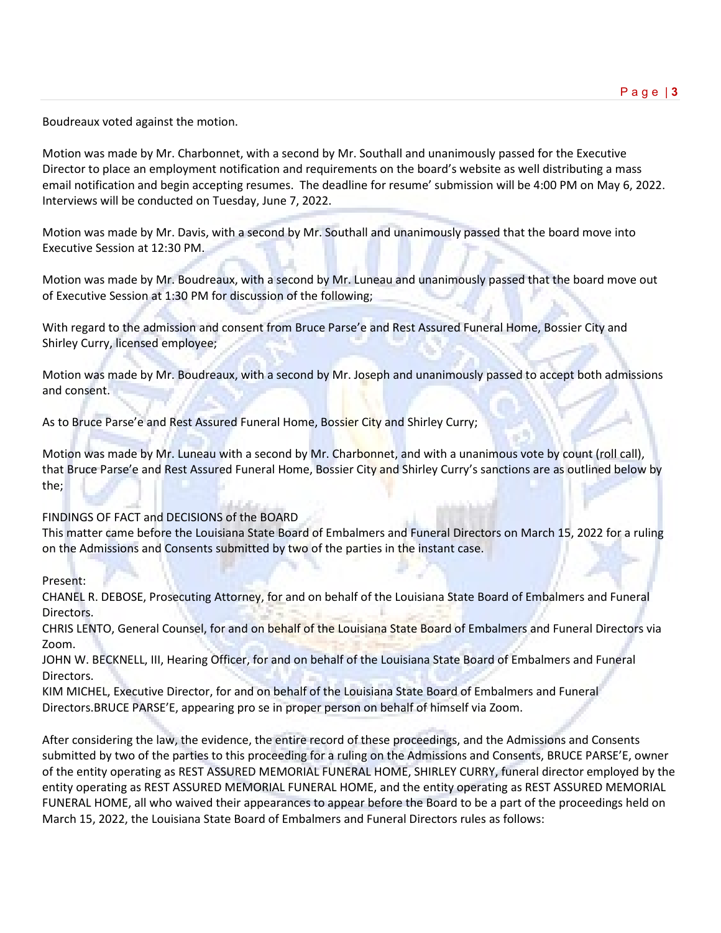Boudreaux voted against the motion.

Motion was made by Mr. Charbonnet, with a second by Mr. Southall and unanimously passed for the Executive Director to place an employment notification and requirements on the board's website as well distributing a mass email notification and begin accepting resumes. The deadline for resume' submission will be 4:00 PM on May 6, 2022. Interviews will be conducted on Tuesday, June 7, 2022.

Motion was made by Mr. Davis, with a second by Mr. Southall and unanimously passed that the board move into Executive Session at 12:30 PM.

Motion was made by Mr. Boudreaux, with a second by Mr. Luneau and unanimously passed that the board move out of Executive Session at 1:30 PM for discussion of the following;

With regard to the admission and consent from Bruce Parse'e and Rest Assured Funeral Home, Bossier City and Shirley Curry, licensed employee;

Motion was made by Mr. Boudreaux, with a second by Mr. Joseph and unanimously passed to accept both admissions and consent.

As to Bruce Parse'e and Rest Assured Funeral Home, Bossier City and Shirley Curry;

Motion was made by Mr. Luneau with a second by Mr. Charbonnet, and with a unanimous vote by count (roll call), that Bruce Parse'e and Rest Assured Funeral Home, Bossier City and Shirley Curry's sanctions are as outlined below by the;

### FINDINGS OF FACT and DECISIONS of the BOARD

This matter came before the Louisiana State Board of Embalmers and Funeral Directors on March 15, 2022 for a ruling on the Admissions and Consents submitted by two of the parties in the instant case.

Present:

CHANEL R. DEBOSE, Prosecuting Attorney, for and on behalf of the Louisiana State Board of Embalmers and Funeral Directors.

CHRIS LENTO, General Counsel, for and on behalf of the Louisiana State Board of Embalmers and Funeral Directors via Zoom.

JOHN W. BECKNELL, III, Hearing Officer, for and on behalf of the Louisiana State Board of Embalmers and Funeral Directors.

KIM MICHEL, Executive Director, for and on behalf of the Louisiana State Board of Embalmers and Funeral Directors.BRUCE PARSE'E, appearing pro se in proper person on behalf of himself via Zoom.

After considering the law, the evidence, the entire record of these proceedings, and the Admissions and Consents submitted by two of the parties to this proceeding for a ruling on the Admissions and Consents, BRUCE PARSE'E, owner of the entity operating as REST ASSURED MEMORIAL FUNERAL HOME, SHIRLEY CURRY, funeral director employed by the entity operating as REST ASSURED MEMORIAL FUNERAL HOME, and the entity operating as REST ASSURED MEMORIAL FUNERAL HOME, all who waived their appearances to appear before the Board to be a part of the proceedings held on March 15, 2022, the Louisiana State Board of Embalmers and Funeral Directors rules as follows: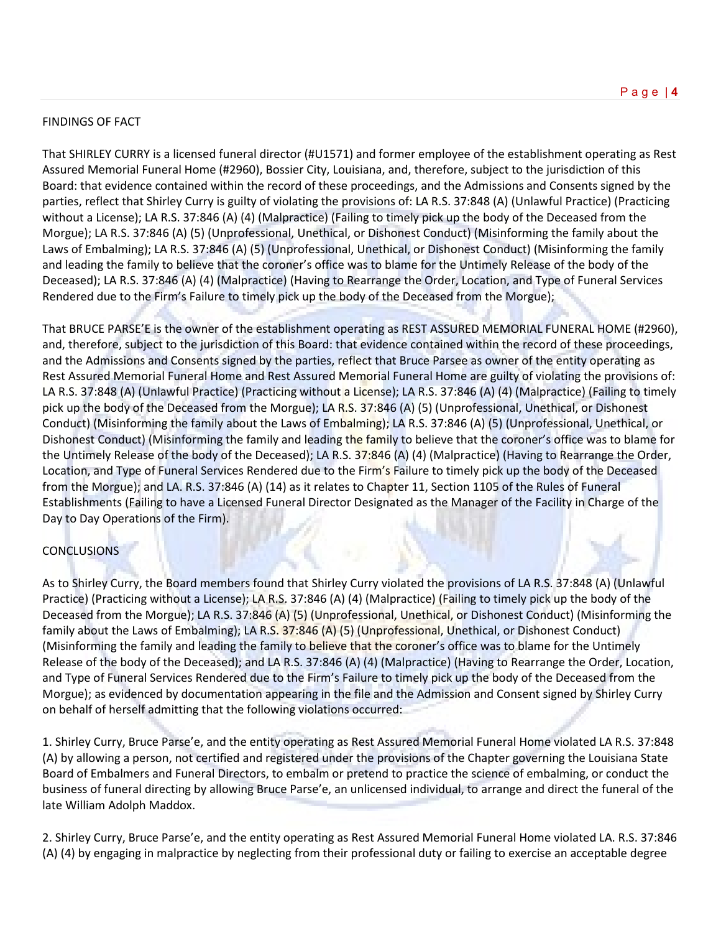### FINDINGS OF FACT

That SHIRLEY CURRY is a licensed funeral director (#U1571) and former employee of the establishment operating as Rest Assured Memorial Funeral Home (#2960), Bossier City, Louisiana, and, therefore, subject to the jurisdiction of this Board: that evidence contained within the record of these proceedings, and the Admissions and Consents signed by the parties, reflect that Shirley Curry is guilty of violating the provisions of: LA R.S. 37:848 (A) (Unlawful Practice) (Practicing without a License); LA R.S. 37:846 (A) (4) (Malpractice) (Failing to timely pick up the body of the Deceased from the Morgue); LA R.S. 37:846 (A) (5) (Unprofessional, Unethical, or Dishonest Conduct) (Misinforming the family about the Laws of Embalming); LA R.S. 37:846 (A) (5) (Unprofessional, Unethical, or Dishonest Conduct) (Misinforming the family and leading the family to believe that the coroner's office was to blame for the Untimely Release of the body of the Deceased); LA R.S. 37:846 (A) (4) (Malpractice) (Having to Rearrange the Order, Location, and Type of Funeral Services Rendered due to the Firm's Failure to timely pick up the body of the Deceased from the Morgue);

That BRUCE PARSE'E is the owner of the establishment operating as REST ASSURED MEMORIAL FUNERAL HOME (#2960), and, therefore, subject to the jurisdiction of this Board: that evidence contained within the record of these proceedings, and the Admissions and Consents signed by the parties, reflect that Bruce Parsee as owner of the entity operating as Rest Assured Memorial Funeral Home and Rest Assured Memorial Funeral Home are guilty of violating the provisions of: LA R.S. 37:848 (A) (Unlawful Practice) (Practicing without a License); LA R.S. 37:846 (A) (4) (Malpractice) (Failing to timely pick up the body of the Deceased from the Morgue); LA R.S. 37:846 (A) (5) (Unprofessional, Unethical, or Dishonest Conduct) (Misinforming the family about the Laws of Embalming); LA R.S. 37:846 (A) (5) (Unprofessional, Unethical, or Dishonest Conduct) (Misinforming the family and leading the family to believe that the coroner's office was to blame for the Untimely Release of the body of the Deceased); LA R.S. 37:846 (A) (4) (Malpractice) (Having to Rearrange the Order, Location, and Type of Funeral Services Rendered due to the Firm's Failure to timely pick up the body of the Deceased from the Morgue); and LA. R.S. 37:846 (A) (14) as it relates to Chapter 11, Section 1105 of the Rules of Funeral Establishments (Failing to have a Licensed Funeral Director Designated as the Manager of the Facility in Charge of the Day to Day Operations of the Firm).

# CONCLUSIONS

As to Shirley Curry, the Board members found that Shirley Curry violated the provisions of LA R.S. 37:848 (A) (Unlawful Practice) (Practicing without a License); LA R.S. 37:846 (A) (4) (Malpractice) (Failing to timely pick up the body of the Deceased from the Morgue); LA R.S. 37:846 (A) (5) (Unprofessional, Unethical, or Dishonest Conduct) (Misinforming the family about the Laws of Embalming); LA R.S. 37:846 (A) (5) (Unprofessional, Unethical, or Dishonest Conduct) (Misinforming the family and leading the family to believe that the coroner's office was to blame for the Untimely Release of the body of the Deceased); and LA R.S. 37:846 (A) (4) (Malpractice) (Having to Rearrange the Order, Location, and Type of Funeral Services Rendered due to the Firm's Failure to timely pick up the body of the Deceased from the Morgue); as evidenced by documentation appearing in the file and the Admission and Consent signed by Shirley Curry on behalf of herself admitting that the following violations occurred:

1. Shirley Curry, Bruce Parse'e, and the entity operating as Rest Assured Memorial Funeral Home violated LA R.S. 37:848 (A) by allowing a person, not certified and registered under the provisions of the Chapter governing the Louisiana State Board of Embalmers and Funeral Directors, to embalm or pretend to practice the science of embalming, or conduct the business of funeral directing by allowing Bruce Parse'e, an unlicensed individual, to arrange and direct the funeral of the late William Adolph Maddox.

2. Shirley Curry, Bruce Parse'e, and the entity operating as Rest Assured Memorial Funeral Home violated LA. R.S. 37:846 (A) (4) by engaging in malpractice by neglecting from their professional duty or failing to exercise an acceptable degree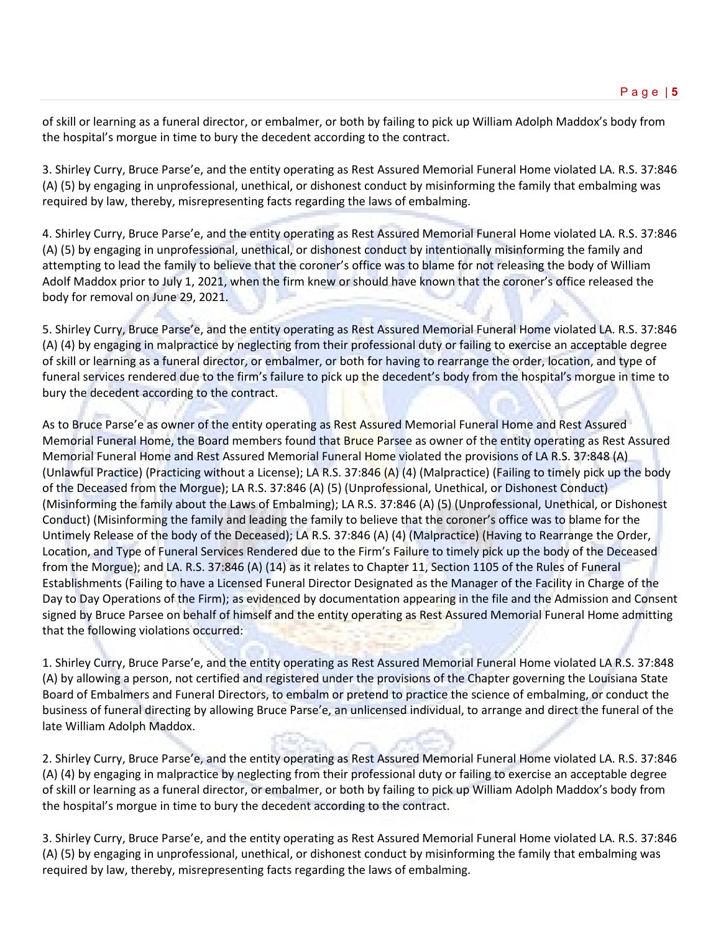of skill or learning as a funeral director, or embalmer, or both by failing to pick up William Adolph Maddox's body from the hospital's morgue in time to bury the decedent according to the contract.

3. Shirley Curry, Bruce Parse'e, and the entity operating as Rest Assured Memorial Funeral Home violated LA. R.S. 37:846 (A) (5) by engaging in unprofessional, unethical, or dishonest conduct by misinforming the family that embalming was required by law, thereby, misrepresenting facts regarding the laws of embalming.

4. Shirley Curry, Bruce Parse'e, and the entity operating as Rest Assured Memorial Funeral Home violated LA. R.S. 37:846 (A) (5) by engaging in unprofessional, unethical, or dishonest conduct by intentionally misinforming the family and attempting to lead the family to believe that the coroner's office was to blame for not releasing the body of William Adolf Maddox prior to July 1, 2021, when the firm knew or should have known that the coroner's office released the body for removal on June 29, 2021.

5. Shirley Curry, Bruce Parse'e, and the entity operating as Rest Assured Memorial Funeral Home violated LA. R.S. 37:846 (A) (4) by engaging in malpractice by neglecting from their professional duty or failing to exercise an acceptable degree of skill or learning as a funeral director, or embalmer, or both for having to rearrange the order, location, and type of funeral services rendered due to the firm's failure to pick up the decedent's body from the hospital's morgue in time to bury the decedent according to the contract.

As to Bruce Parse'e as owner of the entity operating as Rest Assured Memorial Funeral Home and Rest Assured Memorial Funeral Home, the Board members found that Bruce Parsee as owner of the entity operating as Rest Assured Memorial Funeral Home and Rest Assured Memorial Funeral Home violated the provisions of LA R.S. 37:848 (A) (Unlawful Practice) (Practicing without a License); LA R.S. 37:846 (A) (4) (Malpractice) (Failing to timely pick up the body of the Deceased from the Morgue); LA R.S. 37:846 (A) (5) (Unprofessional, Unethical, or Dishonest Conduct) (Misinforming the family about the Laws of Embalming); LA R.S. 37:846 (A) (5) (Unprofessional, Unethical, or Dishonest Conduct) (Misinforming the family and leading the family to believe that the coroner's office was to blame for the Untimely Release of the body of the Deceased); LA R.S. 37:846 (A) (4) (Malpractice) (Having to Rearrange the Order, Location, and Type of Funeral Services Rendered due to the Firm's Failure to timely pick up the body of the Deceased from the Morgue); and LA. R.S. 37:846 (A) (14) as it relates to Chapter 11, Section 1105 of the Rules of Funeral Establishments (Failing to have a Licensed Funeral Director Designated as the Manager of the Facility in Charge of the Day to Day Operations of the Firm); as evidenced by documentation appearing in the file and the Admission and Consent signed by Bruce Parsee on behalf of himself and the entity operating as Rest Assured Memorial Funeral Home admitting that the following violations occurred:

1. Shirley Curry, Bruce Parse'e, and the entity operating as Rest Assured Memorial Funeral Home violated LA R.S. 37:848 (A) by allowing a person, not certified and registered under the provisions of the Chapter governing the Louisiana State Board of Embalmers and Funeral Directors, to embalm or pretend to practice the science of embalming, or conduct the business of funeral directing by allowing Bruce Parse'e, an unlicensed individual, to arrange and direct the funeral of the late William Adolph Maddox.

2. Shirley Curry, Bruce Parse'e, and the entity operating as Rest Assured Memorial Funeral Home violated LA. R.S. 37:846 (A) (4) by engaging in malpractice by neglecting from their professional duty or failing to exercise an acceptable degree of skill or learning as a funeral director, or embalmer, or both by failing to pick up William Adolph Maddox's body from the hospital's morgue in time to bury the decedent according to the contract.

3. Shirley Curry, Bruce Parse'e, and the entity operating as Rest Assured Memorial Funeral Home violated LA. R.S. 37:846 (A) (5) by engaging in unprofessional, unethical, or dishonest conduct by misinforming the family that embalming was required by law, thereby, misrepresenting facts regarding the laws of embalming.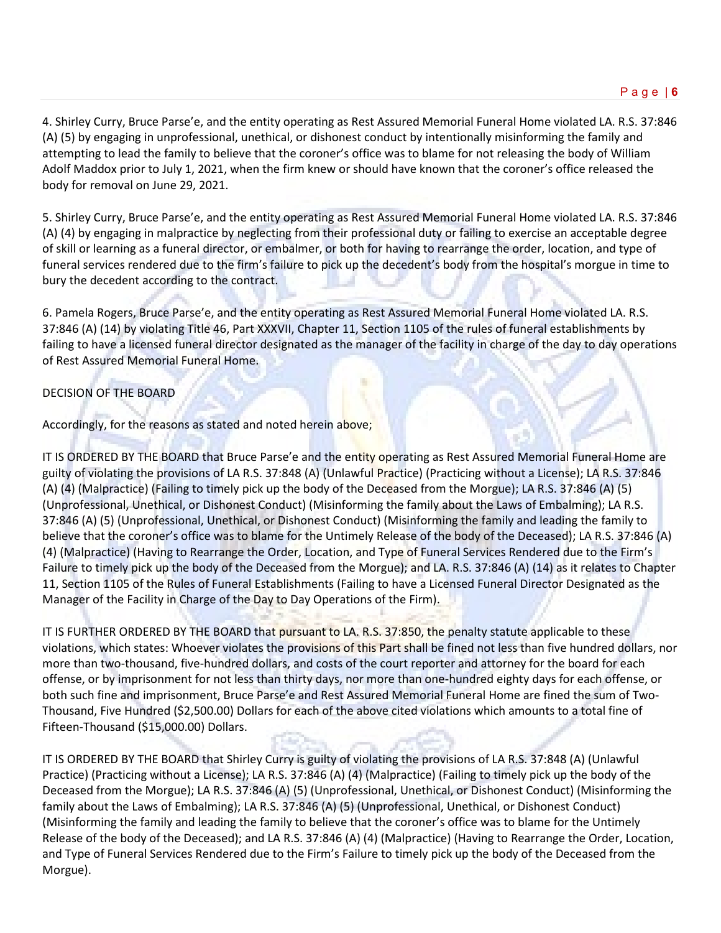4. Shirley Curry, Bruce Parse'e, and the entity operating as Rest Assured Memorial Funeral Home violated LA. R.S. 37:846 (A) (5) by engaging in unprofessional, unethical, or dishonest conduct by intentionally misinforming the family and attempting to lead the family to believe that the coroner's office was to blame for not releasing the body of William Adolf Maddox prior to July 1, 2021, when the firm knew or should have known that the coroner's office released the body for removal on June 29, 2021.

5. Shirley Curry, Bruce Parse'e, and the entity operating as Rest Assured Memorial Funeral Home violated LA. R.S. 37:846 (A) (4) by engaging in malpractice by neglecting from their professional duty or failing to exercise an acceptable degree of skill or learning as a funeral director, or embalmer, or both for having to rearrange the order, location, and type of funeral services rendered due to the firm's failure to pick up the decedent's body from the hospital's morgue in time to bury the decedent according to the contract.

6. Pamela Rogers, Bruce Parse'e, and the entity operating as Rest Assured Memorial Funeral Home violated LA. R.S. 37:846 (A) (14) by violating Title 46, Part XXXVII, Chapter 11, Section 1105 of the rules of funeral establishments by failing to have a licensed funeral director designated as the manager of the facility in charge of the day to day operations of Rest Assured Memorial Funeral Home.

# DECISION OF THE BOARD

Accordingly, for the reasons as stated and noted herein above;

IT IS ORDERED BY THE BOARD that Bruce Parse'e and the entity operating as Rest Assured Memorial Funeral Home are guilty of violating the provisions of LA R.S. 37:848 (A) (Unlawful Practice) (Practicing without a License); LA R.S. 37:846 (A) (4) (Malpractice) (Failing to timely pick up the body of the Deceased from the Morgue); LA R.S. 37:846 (A) (5) (Unprofessional, Unethical, or Dishonest Conduct) (Misinforming the family about the Laws of Embalming); LA R.S. 37:846 (A) (5) (Unprofessional, Unethical, or Dishonest Conduct) (Misinforming the family and leading the family to believe that the coroner's office was to blame for the Untimely Release of the body of the Deceased); LA R.S. 37:846 (A) (4) (Malpractice) (Having to Rearrange the Order, Location, and Type of Funeral Services Rendered due to the Firm's Failure to timely pick up the body of the Deceased from the Morgue); and LA. R.S. 37:846 (A) (14) as it relates to Chapter 11, Section 1105 of the Rules of Funeral Establishments (Failing to have a Licensed Funeral Director Designated as the Manager of the Facility in Charge of the Day to Day Operations of the Firm).

IT IS FURTHER ORDERED BY THE BOARD that pursuant to LA. R.S. 37:850, the penalty statute applicable to these violations, which states: Whoever violates the provisions of this Part shall be fined not less than five hundred dollars, nor more than two-thousand, five-hundred dollars, and costs of the court reporter and attorney for the board for each offense, or by imprisonment for not less than thirty days, nor more than one-hundred eighty days for each offense, or both such fine and imprisonment, Bruce Parse'e and Rest Assured Memorial Funeral Home are fined the sum of Two-Thousand, Five Hundred (\$2,500.00) Dollars for each of the above cited violations which amounts to a total fine of Fifteen-Thousand (\$15,000.00) Dollars.

IT IS ORDERED BY THE BOARD that Shirley Curry is guilty of violating the provisions of LA R.S. 37:848 (A) (Unlawful Practice) (Practicing without a License); LA R.S. 37:846 (A) (4) (Malpractice) (Failing to timely pick up the body of the Deceased from the Morgue); LA R.S. 37:846 (A) (5) (Unprofessional, Unethical, or Dishonest Conduct) (Misinforming the family about the Laws of Embalming); LA R.S. 37:846 (A) (5) (Unprofessional, Unethical, or Dishonest Conduct) (Misinforming the family and leading the family to believe that the coroner's office was to blame for the Untimely Release of the body of the Deceased); and LA R.S. 37:846 (A) (4) (Malpractice) (Having to Rearrange the Order, Location, and Type of Funeral Services Rendered due to the Firm's Failure to timely pick up the body of the Deceased from the Morgue).